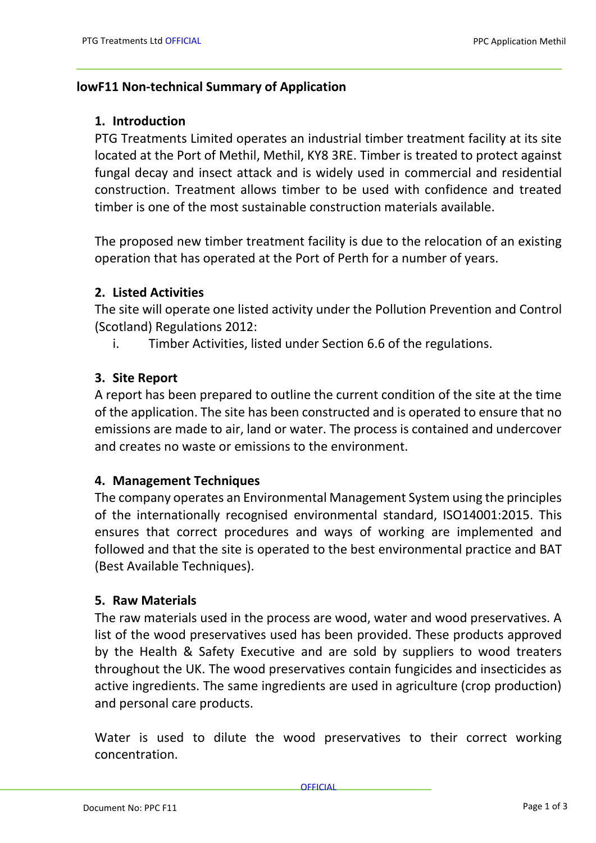#### **lowF11 Non-technical Summary of Application**

#### **1. Introduction**

PTG Treatments Limited operates an industrial timber treatment facility at its site located at the Port of Methil, Methil, KY8 3RE. Timber is treated to protect against fungal decay and insect attack and is widely used in commercial and residential construction. Treatment allows timber to be used with confidence and treated timber is one of the most sustainable construction materials available.

The proposed new timber treatment facility is due to the relocation of an existing operation that has operated at the Port of Perth for a number of years.

#### **2. Listed Activities**

The site will operate one listed activity under the Pollution Prevention and Control (Scotland) Regulations 2012:

i. Timber Activities, listed under Section 6.6 of the regulations.

#### **3. Site Report**

A report has been prepared to outline the current condition of the site at the time of the application. The site has been constructed and is operated to ensure that no emissions are made to air, land or water. The process is contained and undercover and creates no waste or emissions to the environment.

## **4. Management Techniques**

The company operates an Environmental Management System using the principles of the internationally recognised environmental standard, ISO14001:2015. This ensures that correct procedures and ways of working are implemented and followed and that the site is operated to the best environmental practice and BAT (Best Available Techniques).

#### **5. Raw Materials**

The raw materials used in the process are wood, water and wood preservatives. A list of the wood preservatives used has been provided. These products approved by the Health & Safety Executive and are sold by suppliers to wood treaters throughout the UK. The wood preservatives contain fungicides and insecticides as active ingredients. The same ingredients are used in agriculture (crop production) and personal care products.

Water is used to dilute the wood preservatives to their correct working concentration.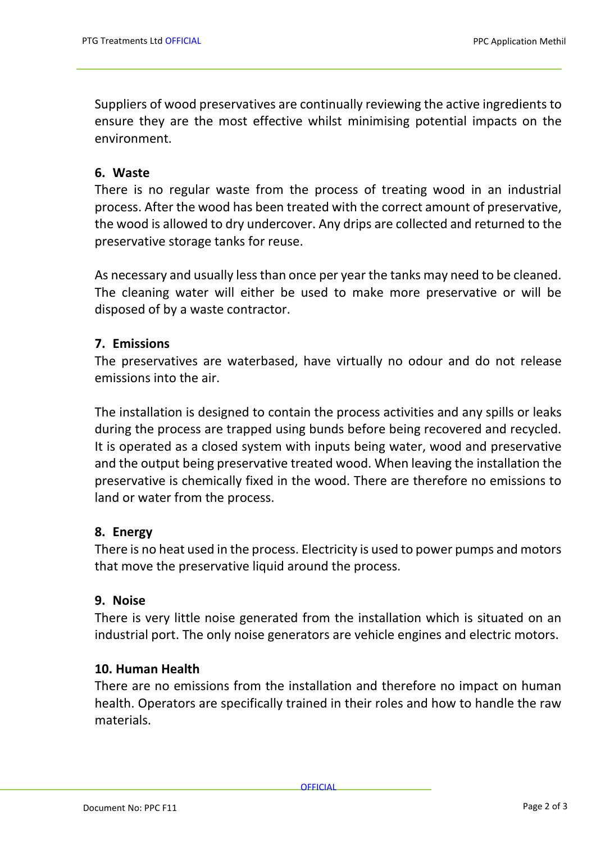Suppliers of wood preservatives are continually reviewing the active ingredients to ensure they are the most effective whilst minimising potential impacts on the environment.

## **6. Waste**

There is no regular waste from the process of treating wood in an industrial process. After the wood has been treated with the correct amount of preservative, the wood is allowed to dry undercover. Any drips are collected and returned to the preservative storage tanks for reuse.

As necessary and usually less than once per year the tanks may need to be cleaned. The cleaning water will either be used to make more preservative or will be disposed of by a waste contractor.

# **7. Emissions**

The preservatives are waterbased, have virtually no odour and do not release emissions into the air.

The installation is designed to contain the process activities and any spills or leaks during the process are trapped using bunds before being recovered and recycled. It is operated as a closed system with inputs being water, wood and preservative and the output being preservative treated wood. When leaving the installation the preservative is chemically fixed in the wood. There are therefore no emissions to land or water from the process.

## **8. Energy**

There is no heat used in the process. Electricity is used to power pumps and motors that move the preservative liquid around the process.

## **9. Noise**

There is very little noise generated from the installation which is situated on an industrial port. The only noise generators are vehicle engines and electric motors.

## **10. Human Health**

There are no emissions from the installation and therefore no impact on human health. Operators are specifically trained in their roles and how to handle the raw materials.